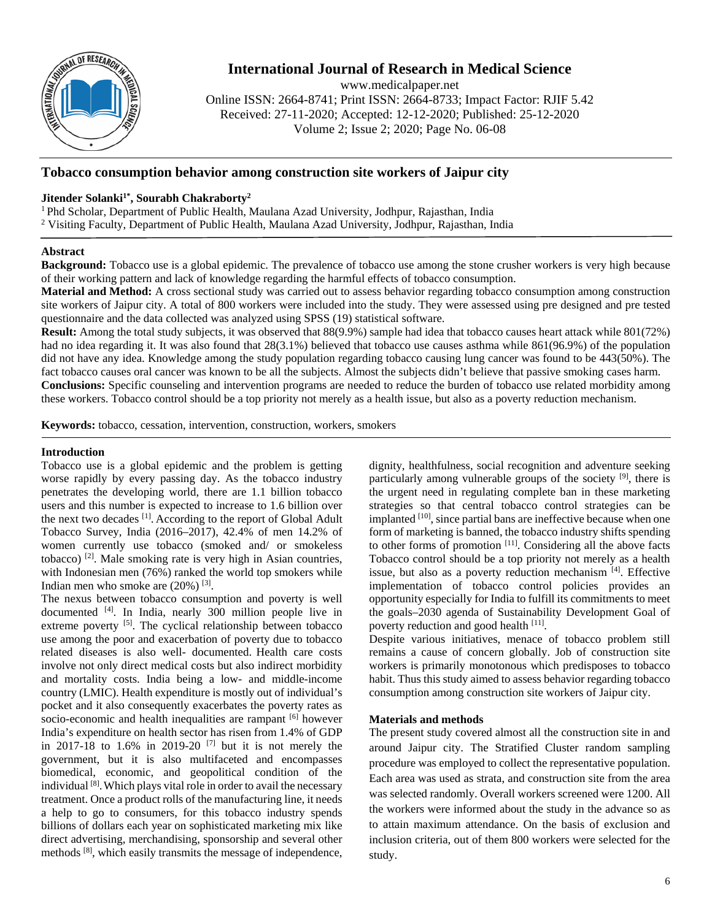

# **International Journal of Research in Medical Science**

www.medicalpaper.net Online ISSN: 2664-8741; Print ISSN: 2664-8733; Impact Factor: RJIF 5.42 Received: 27-11-2020; Accepted: 12-12-2020; Published: 25-12-2020 Volume 2; Issue 2; 2020; Page No. 06-08

# **Tobacco consumption behavior among construction site workers of Jaipur city**

# Jitender Solanki<sup>1\*</sup>, Sourabh Chakraborty<sup>2</sup>

1 Phd Scholar, Department of Public Health, Maulana Azad University, Jodhpur, Rajasthan, India <sup>2</sup> Visiting Faculty, Department of Public Health, Maulana Azad University, Jodhpur, Rajasthan, India

# **Abstract**

**Background:** Tobacco use is a global epidemic. The prevalence of tobacco use among the stone crusher workers is very high because of their working pattern and lack of knowledge regarding the harmful effects of tobacco consumption.

**Material and Method:** A cross sectional study was carried out to assess behavior regarding tobacco consumption among construction site workers of Jaipur city. A total of 800 workers were included into the study. They were assessed using pre designed and pre tested questionnaire and the data collected was analyzed using SPSS (19) statistical software.

**Result:** Among the total study subjects, it was observed that 88(9.9%) sample had idea that tobacco causes heart attack while 801(72%) had no idea regarding it. It was also found that 28(3.1%) believed that tobacco use causes asthma while 861(96.9%) of the population did not have any idea. Knowledge among the study population regarding tobacco causing lung cancer was found to be 443(50%). The fact tobacco causes oral cancer was known to be all the subjects. Almost the subjects didn't believe that passive smoking cases harm. **Conclusions:** Specific counseling and intervention programs are needed to reduce the burden of tobacco use related morbidity among these workers. Tobacco control should be a top priority not merely as a health issue, but also as a poverty reduction mechanism.

**Keywords:** tobacco, cessation, intervention, construction, workers, smokers

## **Introduction**

Tobacco use is a global epidemic and the problem is getting worse rapidly by every passing day. As the tobacco industry penetrates the developing world, there are 1.1 billion tobacco users and this number is expected to increase to 1.6 billion over the next two decades [1]. According to the report of Global Adult Tobacco Survey, India (2016–2017), 42.4% of men 14.2% of women currently use tobacco (smoked and/ or smokeless tobacco) [2]. Male smoking rate is very high in Asian countries, with Indonesian men (76%) ranked the world top smokers while Indian men who smoke are (20%) [3].

The nexus between tobacco consumption and poverty is well documented [4]. In India, nearly 300 million people live in extreme poverty <sup>[5]</sup>. The cyclical relationship between tobacco use among the poor and exacerbation of poverty due to tobacco related diseases is also well- documented. Health care costs involve not only direct medical costs but also indirect morbidity and mortality costs. India being a low- and middle-income country (LMIC). Health expenditure is mostly out of individual's pocket and it also consequently exacerbates the poverty rates as socio-economic and health inequalities are rampant [6] however India's expenditure on health sector has risen from 1.4% of GDP in 2017-18 to 1.6% in 2019-20<sup>[7]</sup> but it is not merely the government, but it is also multifaceted and encompasses biomedical, economic, and geopolitical condition of the individual [8].Which plays vital role in order to avail the necessary treatment. Once a product rolls of the manufacturing line, it needs a help to go to consumers, for this tobacco industry spends billions of dollars each year on sophisticated marketing mix like direct advertising, merchandising, sponsorship and several other methods <sup>[8]</sup>, which easily transmits the message of independence,

dignity, healthfulness, social recognition and adventure seeking particularly among vulnerable groups of the society <sup>[9]</sup>, there is the urgent need in regulating complete ban in these marketing strategies so that central tobacco control strategies can be implanted  $[10]$ , since partial bans are ineffective because when one form of marketing is banned, the tobacco industry shifts spending to other forms of promotion [11]. Considering all the above facts Tobacco control should be a top priority not merely as a health issue, but also as a poverty reduction mechanism [4]. Effective implementation of tobacco control policies provides an opportunity especially for India to fulfill its commitments to meet the goals–2030 agenda of Sustainability Development Goal of poverty reduction and good health [11].

Despite various initiatives, menace of tobacco problem still remains a cause of concern globally. Job of construction site workers is primarily monotonous which predisposes to tobacco habit. Thus this study aimed to assess behavior regarding tobacco consumption among construction site workers of Jaipur city.

## **Materials and methods**

The present study covered almost all the construction site in and around Jaipur city. The Stratified Cluster random sampling procedure was employed to collect the representative population. Each area was used as strata, and construction site from the area was selected randomly. Overall workers screened were 1200. All the workers were informed about the study in the advance so as to attain maximum attendance. On the basis of exclusion and inclusion criteria, out of them 800 workers were selected for the study.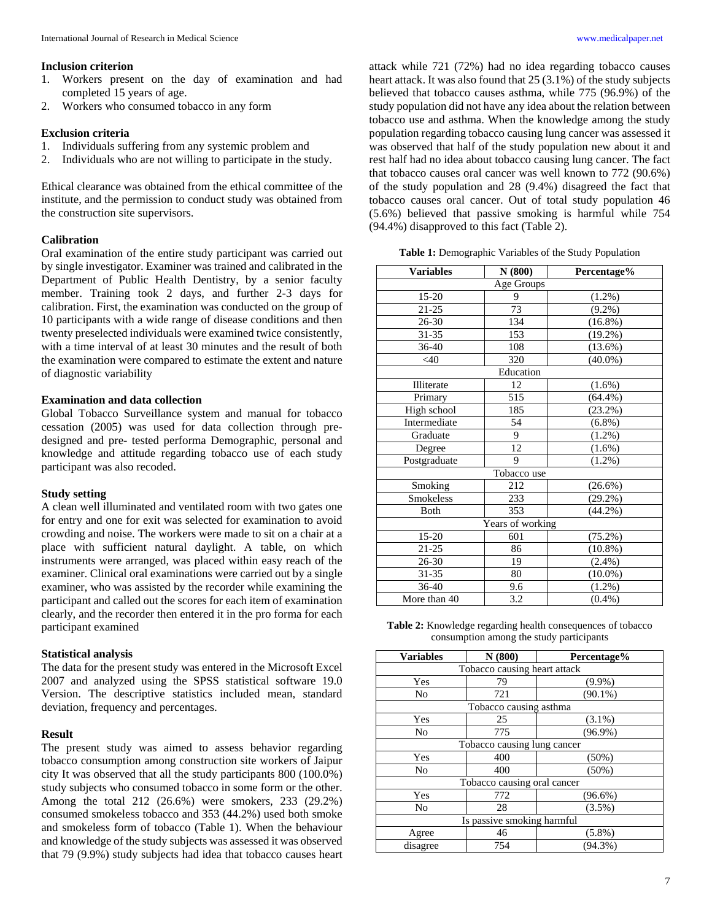- 1. Workers present on the day of examination and had completed 15 years of age.
- 2. Workers who consumed tobacco in any form

#### **Exclusion criteria**

- 1. Individuals suffering from any systemic problem and
- 2. Individuals who are not willing to participate in the study.

Ethical clearance was obtained from the ethical committee of the institute, and the permission to conduct study was obtained from the construction site supervisors.

#### **Calibration**

Oral examination of the entire study participant was carried out by single investigator. Examiner was trained and calibrated in the Department of Public Health Dentistry, by a senior faculty member. Training took 2 days, and further 2-3 days for calibration. First, the examination was conducted on the group of 10 participants with a wide range of disease conditions and then twenty preselected individuals were examined twice consistently, with a time interval of at least 30 minutes and the result of both the examination were compared to estimate the extent and nature of diagnostic variability

#### **Examination and data collection**

Global Tobacco Surveillance system and manual for tobacco cessation (2005) was used for data collection through predesigned and pre- tested performa Demographic, personal and knowledge and attitude regarding tobacco use of each study participant was also recoded.

#### **Study setting**

A clean well illuminated and ventilated room with two gates one for entry and one for exit was selected for examination to avoid crowding and noise. The workers were made to sit on a chair at a place with sufficient natural daylight. A table, on which instruments were arranged, was placed within easy reach of the examiner. Clinical oral examinations were carried out by a single examiner, who was assisted by the recorder while examining the participant and called out the scores for each item of examination clearly, and the recorder then entered it in the pro forma for each participant examined

#### **Statistical analysis**

The data for the present study was entered in the Microsoft Excel 2007 and analyzed using the SPSS statistical software 19.0 Version. The descriptive statistics included mean, standard deviation, frequency and percentages.

#### **Result**

The present study was aimed to assess behavior regarding tobacco consumption among construction site workers of Jaipur city It was observed that all the study participants 800 (100.0%) study subjects who consumed tobacco in some form or the other. Among the total 212 (26.6%) were smokers, 233 (29.2%) consumed smokeless tobacco and 353 (44.2%) used both smoke and smokeless form of tobacco (Table 1). When the behaviour and knowledge of the study subjects was assessed it was observed that 79 (9.9%) study subjects had idea that tobacco causes heart

attack while 721 (72%) had no idea regarding tobacco causes heart attack. It was also found that 25 (3.1%) of the study subjects believed that tobacco causes asthma, while 775 (96.9%) of the study population did not have any idea about the relation between tobacco use and asthma. When the knowledge among the study population regarding tobacco causing lung cancer was assessed it was observed that half of the study population new about it and rest half had no idea about tobacco causing lung cancer. The fact that tobacco causes oral cancer was well known to 772 (90.6%) of the study population and 28 (9.4%) disagreed the fact that tobacco causes oral cancer. Out of total study population 46 (5.6%) believed that passive smoking is harmful while 754 (94.4%) disapproved to this fact (Table 2).

**Table 1:** Demographic Variables of the Study Population

| <b>Variables</b> | N(800) | Percentage% |  |
|------------------|--------|-------------|--|
| Age Groups       |        |             |  |
| 15-20            | 9      | (1.2%)      |  |
| 21-25            | 73     | $(9.2\%)$   |  |
| $26 - 30$        | 134    | $(16.8\%)$  |  |
| $31 - 35$        | 153    | $(19.2\%)$  |  |
| 36-40            | 108    | $(13.6\%)$  |  |
| <40              | 320    | $(40.0\%)$  |  |
| Education        |        |             |  |
| Illiterate       | 12     | $(1.6\%)$   |  |
| Primary          | 515    | $(64.4\%)$  |  |
| High school      | 185    | (23.2%)     |  |
| Intermediate     | 54     | $(6.8\%)$   |  |
| Graduate         | 9      | $(1.2\%)$   |  |
| Degree           | 12     | $(1.6\%)$   |  |
| Postgraduate     | 9      | $(1.2\%)$   |  |
| Tobacco use      |        |             |  |
| Smoking          | 212    | (26.6%)     |  |
| Smokeless        | 233    | (29.2%)     |  |
| Both             | 353    | $(44.2\%)$  |  |
| Years of working |        |             |  |
| 15-20            | 601    | (75.2%)     |  |
| 21-25            | 86     | $(10.8\%)$  |  |
| 26-30            | 19     | $(2.4\%)$   |  |
| 31-35            | 80     | $(10.0\%)$  |  |
| $36 - 40$        | 9.6    | $(1.2\%)$   |  |
| More than 40     | 3.2    | $(0.4\%)$   |  |

**Table 2:** Knowledge regarding health consequences of tobacco consumption among the study participants

| <b>Variables</b>             | N(800) | Percentage% |  |
|------------------------------|--------|-------------|--|
| Tobacco causing heart attack |        |             |  |
| Yes                          | 79     | $(9.9\%)$   |  |
| No                           | 721    | $(90.1\%)$  |  |
| Tobacco causing asthma       |        |             |  |
| Yes                          | 25     | $(3.1\%)$   |  |
| No                           | 775    | $(96.9\%)$  |  |
| Tobacco causing lung cancer  |        |             |  |
| Yes                          | 400    | $(50\%)$    |  |
| N <sub>0</sub>               | 400    | (50%)       |  |
| Tobacco causing oral cancer  |        |             |  |
| Yes                          | 772    | $(96.6\%)$  |  |
| N <sub>0</sub>               | 28     | $(3.5\%)$   |  |
| Is passive smoking harmful   |        |             |  |
| Agree                        | 46     | $(5.8\%)$   |  |
| disagree                     | 754    | $(94.3\%)$  |  |